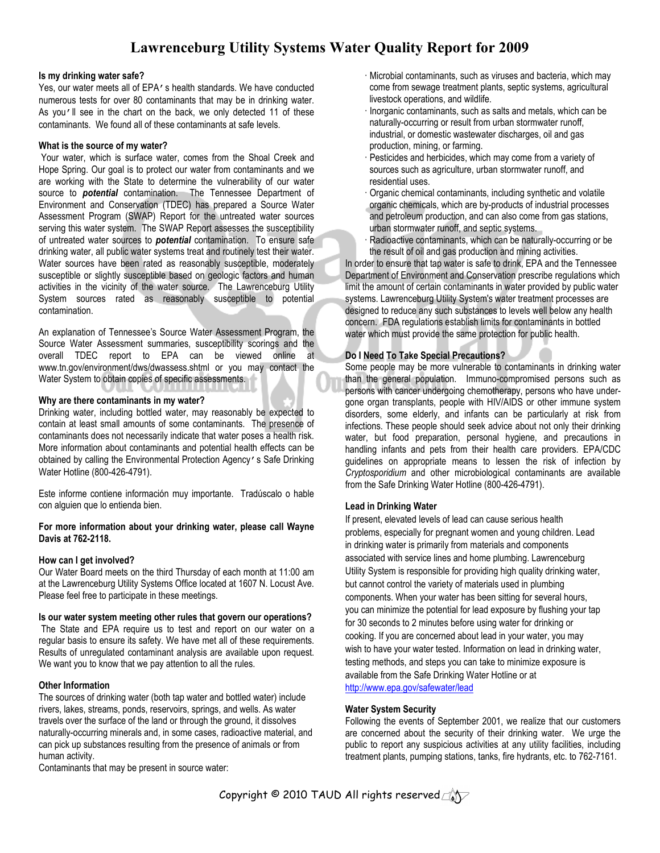# Lawrenceburg Utility Systems Water Quality Report for 2009

#### Is my drinking water safe?

Yes, our water meets all of EPA's health standards. We have conducted numerous tests for over 80 contaminants that may be in drinking water. As you'll see in the chart on the back, we only detected 11 of these contaminants. We found all of these contaminants at safe levels.

### What is the source of my water?

 Your water, which is surface water, comes from the Shoal Creek and Hope Spring. Our goal is to protect our water from contaminants and we are working with the State to determine the vulnerability of our water source to **potential** contamination. The Tennessee Department of Environment and Conservation (TDEC) has prepared a Source Water Assessment Program (SWAP) Report for the untreated water sources serving this water system. The SWAP Report assesses the susceptibility of untreated water sources to **potential** contamination. To ensure safe drinking water, all public water systems treat and routinely test their water. Water sources have been rated as reasonably susceptible, moderately susceptible or slightly susceptible based on geologic factors and human activities in the vicinity of the water source. The Lawrenceburg Utility System sources rated as reasonably susceptible to potential contamination.

An explanation of Tennessee's Source Water Assessment Program, the Source Water Assessment summaries, susceptibility scorings and the overall TDEC report to EPA can be viewed online at www.tn.gov/environment/dws/dwassess.shtml or you may contact the Water System to obtain copies of specific assessments.

### Why are there contaminants in my water?

Drinking water, including bottled water, may reasonably be expected to contain at least small amounts of some contaminants. The presence of contaminants does not necessarily indicate that water poses a health risk. More information about contaminants and potential health effects can be obtained by calling the Environmental Protection Agency's Safe Drinking Water Hotline (800-426-4791).

Este informe contiene información muy importante. Tradúscalo o hable con alguien que lo entienda bien.

## For more information about your drinking water, please call Wayne Davis at 762-2118.

# How can I get involved?

Our Water Board meets on the third Thursday of each month at 11:00 am at the Lawrenceburg Utility Systems Office located at 1607 N. Locust Ave. Please feel free to participate in these meetings.

### Is our water system meeting other rules that govern our operations?

 The State and EPA require us to test and report on our water on a regular basis to ensure its safety. We have met all of these requirements. Results of unregulated contaminant analysis are available upon request. We want you to know that we pay attention to all the rules.

# Other Information

The sources of drinking water (both tap water and bottled water) include rivers, lakes, streams, ponds, reservoirs, springs, and wells. As water travels over the surface of the land or through the ground, it dissolves naturally-occurring minerals and, in some cases, radioactive material, and can pick up substances resulting from the presence of animals or from human activity.

Contaminants that may be present in source water:

- Microbial contaminants, such as viruses and bacteria, which may come from sewage treatment plants, septic systems, agricultural livestock operations, and wildlife.
- Inorganic contaminants, such as salts and metals, which can be naturally-occurring or result from urban stormwater runoff, industrial, or domestic wastewater discharges, oil and gas production, mining, or farming.
- Pesticides and herbicides, which may come from a variety of sources such as agriculture, urban stormwater runoff, and residential uses.
- Organic chemical contaminants, including synthetic and volatile organic chemicals, which are by-products of industrial processes and petroleum production, and can also come from gas stations, urban stormwater runoff, and septic systems.
- Radioactive contaminants, which can be naturally-occurring or be the result of oil and gas production and mining activities.

In order to ensure that tap water is safe to drink, EPA and the Tennessee Department of Environment and Conservation prescribe regulations which limit the amount of certain contaminants in water provided by public water systems. Lawrenceburg Utility System's water treatment processes are designed to reduce any such substances to levels well below any health concern. FDA regulations establish limits for contaminants in bottled water which must provide the same protection for public health.

# Do I Need To Take Special Precautions?

Some people may be more vulnerable to contaminants in drinking water than the general population. Immuno-compromised persons such as persons with cancer undergoing chemotherapy, persons who have undergone organ transplants, people with HIV/AIDS or other immune system disorders, some elderly, and infants can be particularly at risk from infections. These people should seek advice about not only their drinking water, but food preparation, personal hygiene, and precautions in handling infants and pets from their health care providers. EPA/CDC guidelines on appropriate means to lessen the risk of infection by Cryptosporidium and other microbiological contaminants are available from the Safe Drinking Water Hotline (800-426-4791).

# Lead in Drinking Water

If present, elevated levels of lead can cause serious health problems, especially for pregnant women and young children. Lead in drinking water is primarily from materials and components associated with service lines and home plumbing. Lawrenceburg Utility System is responsible for providing high quality drinking water, but cannot control the variety of materials used in plumbing components. When your water has been sitting for several hours, you can minimize the potential for lead exposure by flushing your tap for 30 seconds to 2 minutes before using water for drinking or cooking. If you are concerned about lead in your water, you may wish to have your water tested. Information on lead in drinking water, testing methods, and steps you can take to minimize exposure is available from the Safe Drinking Water Hotline or at http://www.epa.gov/safewater/lead

### Water System Security

Following the events of September 2001, we realize that our customers are concerned about the security of their drinking water. We urge the public to report any suspicious activities at any utility facilities, including treatment plants, pumping stations, tanks, fire hydrants, etc. to 762-7161.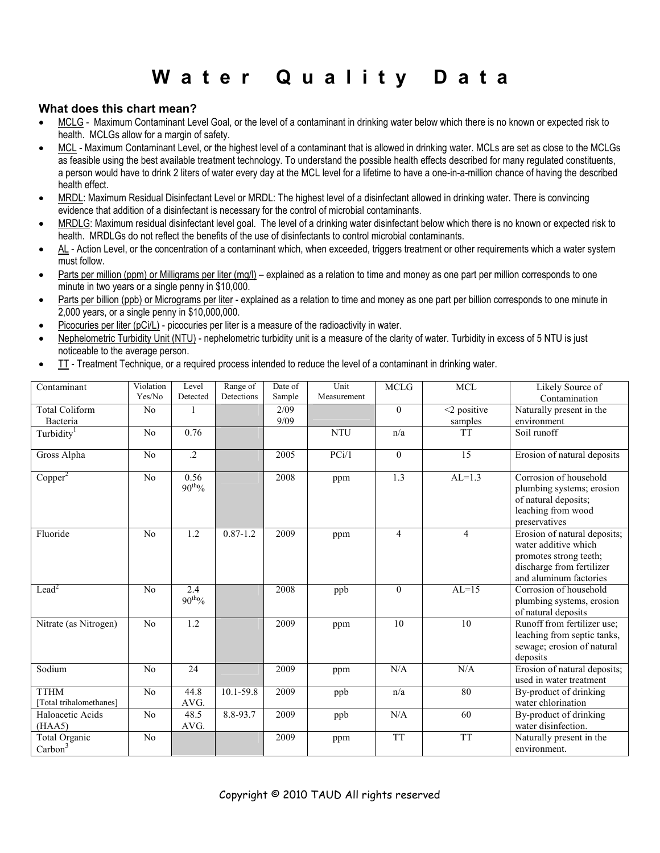# Water Quality Data

# What does this chart mean?

- MCLG Maximum Contaminant Level Goal, or the level of a contaminant in drinking water below which there is no known or expected risk to health. MCLGs allow for a margin of safety.
- MCL Maximum Contaminant Level, or the highest level of a contaminant that is allowed in drinking water. MCLs are set as close to the MCLGs as feasible using the best available treatment technology. To understand the possible health effects described for many regulated constituents, a person would have to drink 2 liters of water every day at the MCL level for a lifetime to have a one-in-a-million chance of having the described health effect.
- MRDL: Maximum Residual Disinfectant Level or MRDL: The highest level of a disinfectant allowed in drinking water. There is convincing evidence that addition of a disinfectant is necessary for the control of microbial contaminants.
- MRDLG: Maximum residual disinfectant level goal. The level of a drinking water disinfectant below which there is no known or expected risk to health. MRDLGs do not reflect the benefits of the use of disinfectants to control microbial contaminants.
- AL Action Level, or the concentration of a contaminant which, when exceeded, triggers treatment or other requirements which a water system must follow.
- Parts per million (ppm) or Milligrams per liter (mg/l) explained as a relation to time and money as one part per million corresponds to one minute in two years or a single penny in \$10,000.
- Parts per billion (ppb) or Micrograms per liter explained as a relation to time and money as one part per billion corresponds to one minute in 2,000 years, or a single penny in \$10,000,000.
- Picocuries per liter (pCi/L) picocuries per liter is a measure of the radioactivity in water.
- Nephelometric Turbidity Unit (NTU) nephelometric turbidity unit is a measure of the clarity of water. Turbidity in excess of 5 NTU is just noticeable to the average person.
- TT Treatment Technique, or a required process intended to reduce the level of a contaminant in drinking water.

| Contaminant                            | Violation<br>Yes/No | Level<br>Detected          | Range of<br>Detections | Date of<br>Sample | Unit<br>Measurement | <b>MCLG</b>    | <b>MCL</b>                | Likely Source of<br>Contamination                                                                                                     |
|----------------------------------------|---------------------|----------------------------|------------------------|-------------------|---------------------|----------------|---------------------------|---------------------------------------------------------------------------------------------------------------------------------------|
| <b>Total Coliform</b><br>Bacteria      | No                  |                            |                        | 2/09<br>9/09      |                     | $\theta$       | $<$ 2 positive<br>samples | Naturally present in the<br>environment                                                                                               |
| Turbidity                              | No                  | 0.76                       |                        |                   | <b>NTU</b>          | n/a            | <b>TT</b>                 | Soil runoff                                                                                                                           |
| Gross Alpha                            | No                  | $\cdot$                    |                        | 2005              | PCi/1               | $\theta$       | 15                        | Erosion of natural deposits                                                                                                           |
| Copper <sup>2</sup>                    | No                  | 0.56<br>$90^{\text{th}}\%$ |                        | 2008              | ppm                 | 1.3            | $AL=1.3$                  | Corrosion of household<br>plumbing systems; erosion<br>of natural deposits;<br>leaching from wood<br>preservatives                    |
| Fluoride                               | No                  | 1.2                        | $0.87 - 1.2$           | 2009              | ppm                 | $\overline{4}$ | $\overline{4}$            | Erosion of natural deposits;<br>water additive which<br>promotes strong teeth;<br>discharge from fertilizer<br>and aluminum factories |
| Lead <sup>2</sup>                      | No                  | 2.4<br>$90^{\rm th}\%$     |                        | 2008              | ppb                 | $\theta$       | $AL=15$                   | Corrosion of household<br>plumbing systems, erosion<br>of natural deposits                                                            |
| Nitrate (as Nitrogen)                  | No                  | 1.2                        |                        | 2009              | ppm                 | 10             | 10                        | Runoff from fertilizer use:<br>leaching from septic tanks,<br>sewage; erosion of natural<br>deposits                                  |
| Sodium                                 | No                  | 24                         |                        | 2009              | ppm                 | N/A            | N/A                       | Erosion of natural deposits;<br>used in water treatment                                                                               |
| <b>TTHM</b><br>[Total trihalomethanes] | N <sub>0</sub>      | 44.8<br>AVG.               | $10.1 - 59.8$          | 2009              | ppb                 | n/a            | 80                        | By-product of drinking<br>water chlorination                                                                                          |
| Haloacetic Acids<br>(HAA5)             | No                  | 48.5<br>AVG.               | 8.8-93.7               | 2009              | ppb                 | N/A            | 60                        | By-product of drinking<br>water disinfection.                                                                                         |
| Total Organic<br>$\text{Carbon}^3$     | N <sub>0</sub>      |                            |                        | 2009              | ppm                 | <b>TT</b>      | <b>TT</b>                 | Naturally present in the<br>environment.                                                                                              |